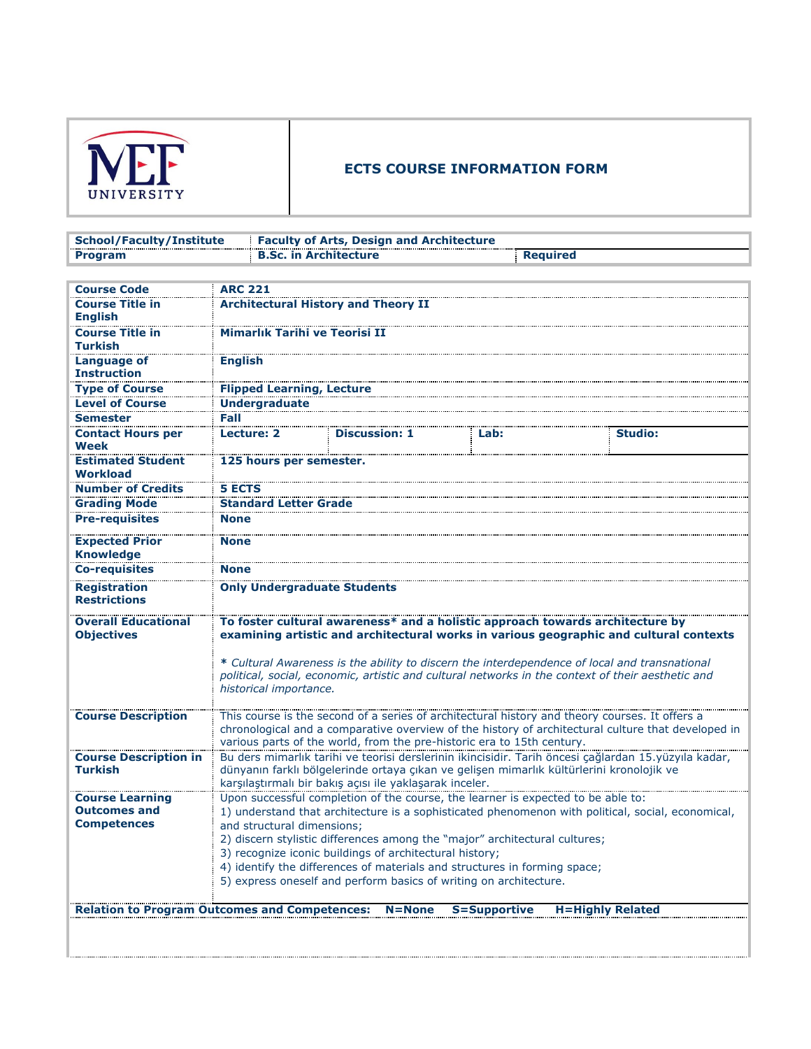

## **ECTS COURSE INFORMATION FORM**

| School/Faculty/Institute | <b>Example 2 Faculty of Arts, Design and Architecture</b> |          |
|--------------------------|-----------------------------------------------------------|----------|
| Program                  | <b>B.Sc. in Architecture</b>                              | Reguired |

| <b>Course Code</b>                                   | <b>ARC 221</b>                       |                                                                   |                                                                                                                                                                                                                                                                                                                                                                               |                         |
|------------------------------------------------------|--------------------------------------|-------------------------------------------------------------------|-------------------------------------------------------------------------------------------------------------------------------------------------------------------------------------------------------------------------------------------------------------------------------------------------------------------------------------------------------------------------------|-------------------------|
| <b>Course Title in</b>                               |                                      | <b>Architectural History and Theory II</b>                        |                                                                                                                                                                                                                                                                                                                                                                               |                         |
| <b>English</b>                                       |                                      |                                                                   |                                                                                                                                                                                                                                                                                                                                                                               |                         |
| <b>Course Title in</b><br>Turkish                    | <b>Mimarlık Tarihi ve Teorisi II</b> |                                                                   |                                                                                                                                                                                                                                                                                                                                                                               |                         |
| Language of<br><b>Instruction</b>                    | <b>English</b>                       |                                                                   |                                                                                                                                                                                                                                                                                                                                                                               |                         |
| <b>Type of Course</b>                                | <b>Flipped Learning, Lecture</b>     |                                                                   |                                                                                                                                                                                                                                                                                                                                                                               |                         |
| <b>Level of Course</b>                               | <b>Undergraduate</b>                 |                                                                   |                                                                                                                                                                                                                                                                                                                                                                               |                         |
| <b>Semester</b>                                      | Fall                                 |                                                                   |                                                                                                                                                                                                                                                                                                                                                                               |                         |
| <b>Contact Hours per</b><br><b>Week</b>              | <b>Lecture: 2</b>                    | <b>Discussion: 1</b>                                              | Lab:                                                                                                                                                                                                                                                                                                                                                                          | <b>Studio:</b>          |
| <b>Estimated Student</b><br>Workload                 | 125 hours per semester.              |                                                                   |                                                                                                                                                                                                                                                                                                                                                                               |                         |
| <b>Number of Credits</b>                             | <b>5 ECTS</b>                        |                                                                   |                                                                                                                                                                                                                                                                                                                                                                               |                         |
| <b>Grading Mode</b>                                  | <b>Standard Letter Grade</b>         |                                                                   |                                                                                                                                                                                                                                                                                                                                                                               |                         |
| <b>Pre-requisites</b>                                | <b>None</b>                          |                                                                   |                                                                                                                                                                                                                                                                                                                                                                               |                         |
| <b>Expected Prior</b><br><b>Knowledge</b>            | <b>None</b>                          |                                                                   |                                                                                                                                                                                                                                                                                                                                                                               |                         |
| <b>Co-requisites</b>                                 | <b>None</b>                          |                                                                   |                                                                                                                                                                                                                                                                                                                                                                               |                         |
| <b>Registration</b><br><b>Restrictions</b>           | <b>Only Undergraduate Students</b>   |                                                                   |                                                                                                                                                                                                                                                                                                                                                                               |                         |
| <b>Overall Educational</b><br><b>Objectives</b>      | historical importance.               |                                                                   | To foster cultural awareness* and a holistic approach towards architecture by<br>examining artistic and architectural works in various geographic and cultural contexts<br>* Cultural Awareness is the ability to discern the interdependence of local and transnational<br>political, social, economic, artistic and cultural networks in the context of their aesthetic and |                         |
| <b>Course Description</b>                            |                                      |                                                                   | This course is the second of a series of architectural history and theory courses. It offers a                                                                                                                                                                                                                                                                                |                         |
|                                                      |                                      |                                                                   | chronological and a comparative overview of the history of architectural culture that developed in<br>various parts of the world, from the pre-historic era to 15th century.                                                                                                                                                                                                  |                         |
| <b>Course Description in</b>                         |                                      |                                                                   | Bu ders mimarlık tarihi ve teorisi derslerinin ikincisidir. Tarih öncesi çağlardan 15.yüzyıla kadar,                                                                                                                                                                                                                                                                          |                         |
| <b>Turkish</b>                                       |                                      | karşılaştırmalı bir bakış açısı ile yaklaşarak inceler.           | dünyanın farklı bölgelerinde ortaya çıkan ve gelişen mimarlık kültürlerini kronolojik ve                                                                                                                                                                                                                                                                                      |                         |
| <b>Course Learning</b>                               |                                      |                                                                   | Upon successful completion of the course, the learner is expected to be able to:                                                                                                                                                                                                                                                                                              |                         |
| <b>Outcomes and</b>                                  |                                      |                                                                   | 1) understand that architecture is a sophisticated phenomenon with political, social, economical,                                                                                                                                                                                                                                                                             |                         |
| <b>Competences</b>                                   | and structural dimensions;           |                                                                   |                                                                                                                                                                                                                                                                                                                                                                               |                         |
|                                                      |                                      |                                                                   | 2) discern stylistic differences among the "major" architectural cultures;                                                                                                                                                                                                                                                                                                    |                         |
|                                                      |                                      | 3) recognize iconic buildings of architectural history;           |                                                                                                                                                                                                                                                                                                                                                                               |                         |
|                                                      |                                      |                                                                   | 4) identify the differences of materials and structures in forming space;                                                                                                                                                                                                                                                                                                     |                         |
|                                                      |                                      | 5) express oneself and perform basics of writing on architecture. |                                                                                                                                                                                                                                                                                                                                                                               |                         |
| <b>Relation to Program Outcomes and Competences:</b> |                                      | $N = None$                                                        | <b>S=Supportive</b>                                                                                                                                                                                                                                                                                                                                                           | <b>H=Highly Related</b> |
|                                                      |                                      |                                                                   |                                                                                                                                                                                                                                                                                                                                                                               |                         |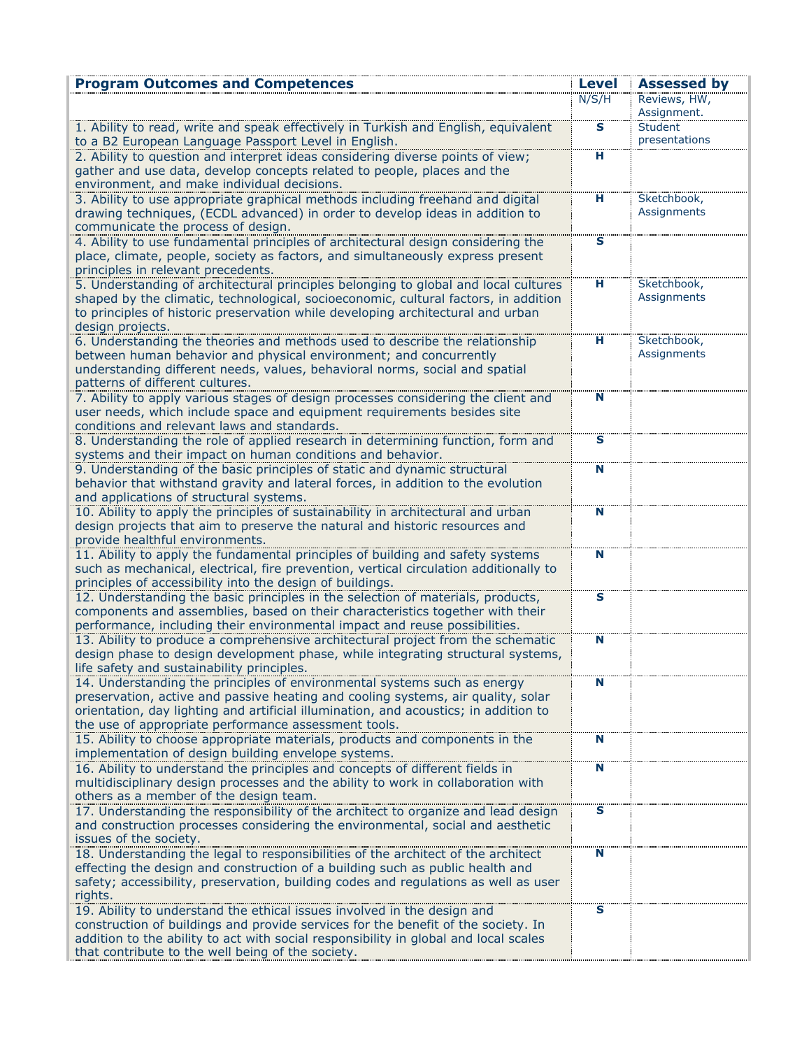| <b>Program Outcomes and Competences</b>                                                                                                                                    | Level                   | <b>Assessed by</b>              |
|----------------------------------------------------------------------------------------------------------------------------------------------------------------------------|-------------------------|---------------------------------|
|                                                                                                                                                                            | N/S/H                   | Reviews, HW,                    |
|                                                                                                                                                                            |                         | Assignment.                     |
| 1. Ability to read, write and speak effectively in Turkish and English, equivalent                                                                                         | $\overline{\mathbf{s}}$ | <b>Student</b><br>presentations |
| to a B2 European Language Passport Level in English.<br>2. Ability to question and interpret ideas considering diverse points of view;                                     | н                       |                                 |
| gather and use data, develop concepts related to people, places and the                                                                                                    |                         |                                 |
| environment, and make individual decisions.                                                                                                                                |                         |                                 |
| 3. Ability to use appropriate graphical methods including freehand and digital                                                                                             | н                       | Sketchbook,                     |
| drawing techniques, (ECDL advanced) in order to develop ideas in addition to                                                                                               |                         | Assignments                     |
| communicate the process of design.                                                                                                                                         |                         |                                 |
| 4. Ability to use fundamental principles of architectural design considering the                                                                                           | s                       |                                 |
| place, climate, people, society as factors, and simultaneously express present                                                                                             |                         |                                 |
| principles in relevant precedents.                                                                                                                                         |                         |                                 |
| 5. Understanding of architectural principles belonging to global and local cultures<br>shaped by the climatic, technological, socioeconomic, cultural factors, in addition | н                       | Sketchbook,<br>Assignments      |
| to principles of historic preservation while developing architectural and urban                                                                                            |                         |                                 |
| design projects.                                                                                                                                                           |                         |                                 |
| 6. Understanding the theories and methods used to describe the relationship                                                                                                | н                       | Sketchbook,                     |
| between human behavior and physical environment; and concurrently                                                                                                          |                         | Assignments                     |
| understanding different needs, values, behavioral norms, social and spatial                                                                                                |                         |                                 |
| patterns of different cultures.                                                                                                                                            |                         |                                 |
| 7. Ability to apply various stages of design processes considering the client and                                                                                          | N                       |                                 |
| user needs, which include space and equipment requirements besides site                                                                                                    |                         |                                 |
| conditions and relevant laws and standards.                                                                                                                                |                         |                                 |
| 8. Understanding the role of applied research in determining function, form and                                                                                            | $\mathbf{s}$            |                                 |
| systems and their impact on human conditions and behavior.                                                                                                                 |                         |                                 |
| 9. Understanding of the basic principles of static and dynamic structural                                                                                                  | Ñ                       |                                 |
| behavior that withstand gravity and lateral forces, in addition to the evolution<br>and applications of structural systems.                                                |                         |                                 |
| 10. Ability to apply the principles of sustainability in architectural and urban                                                                                           | N                       |                                 |
| design projects that aim to preserve the natural and historic resources and                                                                                                |                         |                                 |
| provide healthful environments.                                                                                                                                            |                         |                                 |
| 11. Ability to apply the fundamental principles of building and safety systems                                                                                             | N                       |                                 |
| such as mechanical, electrical, fire prevention, vertical circulation additionally to                                                                                      |                         |                                 |
| principles of accessibility into the design of buildings.                                                                                                                  |                         |                                 |
| 12. Understanding the basic principles in the selection of materials, products,                                                                                            | $\mathbf{s}$            |                                 |
| components and assemblies, based on their characteristics together with their                                                                                              |                         |                                 |
| performance, including their environmental impact and reuse possibilities.                                                                                                 |                         |                                 |
| 13. Ability to produce a comprehensive architectural project from the schematic                                                                                            | N                       |                                 |
| design phase to design development phase, while integrating structural systems,<br>life safety and sustainability principles.                                              |                         |                                 |
| 14. Understanding the principles of environmental systems such as energy                                                                                                   | N                       |                                 |
| preservation, active and passive heating and cooling systems, air quality, solar                                                                                           |                         |                                 |
| orientation, day lighting and artificial illumination, and acoustics; in addition to                                                                                       |                         |                                 |
| the use of appropriate performance assessment tools.                                                                                                                       |                         |                                 |
| 15. Ability to choose appropriate materials, products and components in the                                                                                                | N                       |                                 |
| implementation of design building envelope systems.                                                                                                                        |                         |                                 |
| 16. Ability to understand the principles and concepts of different fields in                                                                                               | N                       |                                 |
| multidisciplinary design processes and the ability to work in collaboration with                                                                                           |                         |                                 |
| others as a member of the design team.                                                                                                                                     |                         |                                 |
| 17. Understanding the responsibility of the architect to organize and lead design<br>and construction processes considering the environmental, social and aesthetic        | S                       |                                 |
| issues of the society.                                                                                                                                                     |                         |                                 |
| 18. Understanding the legal to responsibilities of the architect of the architect                                                                                          | N                       |                                 |
| effecting the design and construction of a building such as public health and                                                                                              |                         |                                 |
| safety; accessibility, preservation, building codes and regulations as well as user                                                                                        |                         |                                 |
| rights.                                                                                                                                                                    |                         |                                 |
| 19. Ability to understand the ethical issues involved in the design and                                                                                                    | s                       |                                 |
| construction of buildings and provide services for the benefit of the society. In                                                                                          |                         |                                 |
| addition to the ability to act with social responsibility in global and local scales                                                                                       |                         |                                 |
| that contribute to the well being of the society.                                                                                                                          |                         |                                 |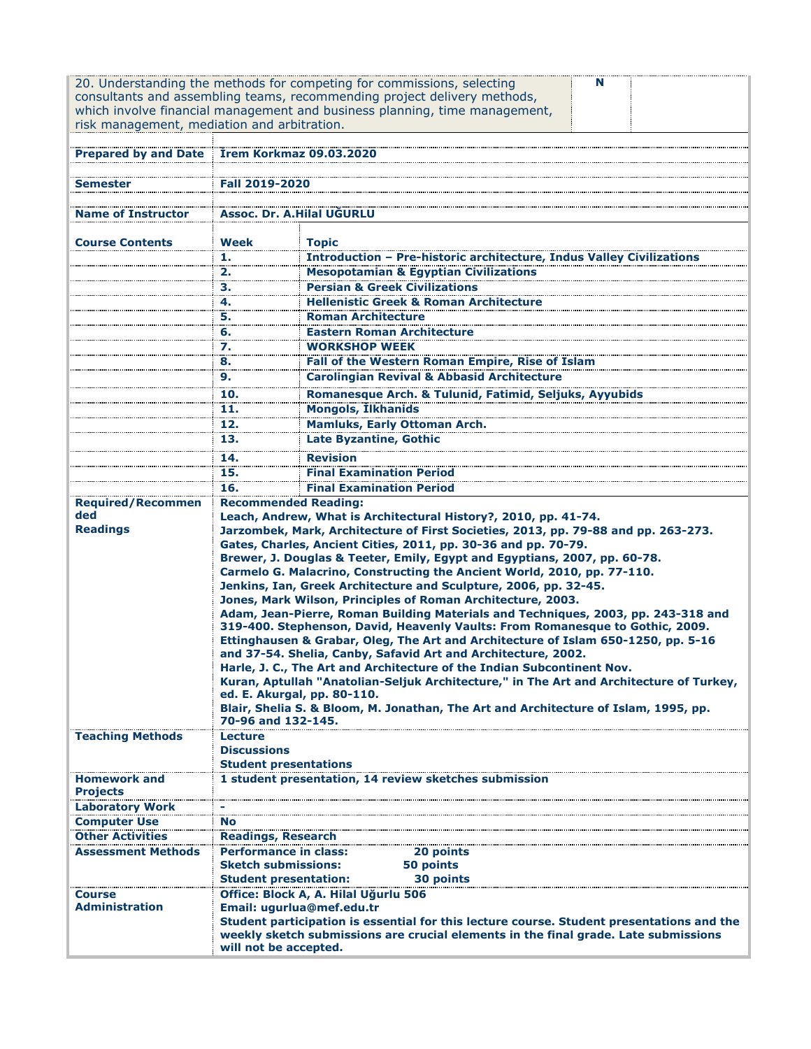| risk management, mediation and arbitration.                                   |                                                                     | 20. Understanding the methods for competing for commissions, selecting<br>N<br>consultants and assembling teams, recommending project delivery methods,<br>which involve financial management and business planning, time management,                                                                                                                                                                                                                                                                                                                                                                                                                                                                                                                                                                                                                                                                                                                                                                                                                                                                                                     |  |  |  |
|-------------------------------------------------------------------------------|---------------------------------------------------------------------|-------------------------------------------------------------------------------------------------------------------------------------------------------------------------------------------------------------------------------------------------------------------------------------------------------------------------------------------------------------------------------------------------------------------------------------------------------------------------------------------------------------------------------------------------------------------------------------------------------------------------------------------------------------------------------------------------------------------------------------------------------------------------------------------------------------------------------------------------------------------------------------------------------------------------------------------------------------------------------------------------------------------------------------------------------------------------------------------------------------------------------------------|--|--|--|
| Prepared by and Date Irem Korkmaz 09.03.2020                                  |                                                                     |                                                                                                                                                                                                                                                                                                                                                                                                                                                                                                                                                                                                                                                                                                                                                                                                                                                                                                                                                                                                                                                                                                                                           |  |  |  |
|                                                                               |                                                                     |                                                                                                                                                                                                                                                                                                                                                                                                                                                                                                                                                                                                                                                                                                                                                                                                                                                                                                                                                                                                                                                                                                                                           |  |  |  |
| <b>Semester</b>                                                               | <b>Fall 2019-2020</b>                                               |                                                                                                                                                                                                                                                                                                                                                                                                                                                                                                                                                                                                                                                                                                                                                                                                                                                                                                                                                                                                                                                                                                                                           |  |  |  |
|                                                                               | <b>Assoc. Dr. A.Hilal UGURLU</b>                                    |                                                                                                                                                                                                                                                                                                                                                                                                                                                                                                                                                                                                                                                                                                                                                                                                                                                                                                                                                                                                                                                                                                                                           |  |  |  |
| <b>Name of Instructor</b>                                                     |                                                                     |                                                                                                                                                                                                                                                                                                                                                                                                                                                                                                                                                                                                                                                                                                                                                                                                                                                                                                                                                                                                                                                                                                                                           |  |  |  |
| <b>Course Contents</b>                                                        | Week                                                                | <b>Topic</b>                                                                                                                                                                                                                                                                                                                                                                                                                                                                                                                                                                                                                                                                                                                                                                                                                                                                                                                                                                                                                                                                                                                              |  |  |  |
|                                                                               | 1.                                                                  | <b>Introduction - Pre-historic architecture, Indus Valley Civilizations</b>                                                                                                                                                                                                                                                                                                                                                                                                                                                                                                                                                                                                                                                                                                                                                                                                                                                                                                                                                                                                                                                               |  |  |  |
|                                                                               | 2.                                                                  | <b>Mesopotamian &amp; Egyptian Civilizations</b>                                                                                                                                                                                                                                                                                                                                                                                                                                                                                                                                                                                                                                                                                                                                                                                                                                                                                                                                                                                                                                                                                          |  |  |  |
|                                                                               | 3.                                                                  | <b>Persian &amp; Greek Civilizations</b>                                                                                                                                                                                                                                                                                                                                                                                                                                                                                                                                                                                                                                                                                                                                                                                                                                                                                                                                                                                                                                                                                                  |  |  |  |
|                                                                               | 4.<br>5.                                                            | <b>Hellenistic Greek &amp; Roman Architecture</b><br><b>Roman Architecture</b>                                                                                                                                                                                                                                                                                                                                                                                                                                                                                                                                                                                                                                                                                                                                                                                                                                                                                                                                                                                                                                                            |  |  |  |
|                                                                               | 6.                                                                  | <b>Eastern Roman Architecture</b>                                                                                                                                                                                                                                                                                                                                                                                                                                                                                                                                                                                                                                                                                                                                                                                                                                                                                                                                                                                                                                                                                                         |  |  |  |
|                                                                               | 7.                                                                  | <b>WORKSHOP WEEK</b>                                                                                                                                                                                                                                                                                                                                                                                                                                                                                                                                                                                                                                                                                                                                                                                                                                                                                                                                                                                                                                                                                                                      |  |  |  |
|                                                                               | 8.                                                                  | Fall of the Western Roman Empire, Rise of Islam                                                                                                                                                                                                                                                                                                                                                                                                                                                                                                                                                                                                                                                                                                                                                                                                                                                                                                                                                                                                                                                                                           |  |  |  |
|                                                                               | 9.                                                                  | <b>Carolingian Revival &amp; Abbasid Architecture</b>                                                                                                                                                                                                                                                                                                                                                                                                                                                                                                                                                                                                                                                                                                                                                                                                                                                                                                                                                                                                                                                                                     |  |  |  |
|                                                                               | 10.                                                                 | Romanesque Arch. & Tulunid, Fatimid, Seljuks, Ayyubids                                                                                                                                                                                                                                                                                                                                                                                                                                                                                                                                                                                                                                                                                                                                                                                                                                                                                                                                                                                                                                                                                    |  |  |  |
|                                                                               | 11.                                                                 | <b>Mongols, İlkhanids</b>                                                                                                                                                                                                                                                                                                                                                                                                                                                                                                                                                                                                                                                                                                                                                                                                                                                                                                                                                                                                                                                                                                                 |  |  |  |
|                                                                               | 12.                                                                 | <b>Mamluks, Early Ottoman Arch.</b>                                                                                                                                                                                                                                                                                                                                                                                                                                                                                                                                                                                                                                                                                                                                                                                                                                                                                                                                                                                                                                                                                                       |  |  |  |
|                                                                               | 13.                                                                 | <b>Late Byzantine, Gothic</b>                                                                                                                                                                                                                                                                                                                                                                                                                                                                                                                                                                                                                                                                                                                                                                                                                                                                                                                                                                                                                                                                                                             |  |  |  |
|                                                                               | 14.                                                                 | <b>Revision</b>                                                                                                                                                                                                                                                                                                                                                                                                                                                                                                                                                                                                                                                                                                                                                                                                                                                                                                                                                                                                                                                                                                                           |  |  |  |
|                                                                               | 15.                                                                 | <b>Final Examination Period</b>                                                                                                                                                                                                                                                                                                                                                                                                                                                                                                                                                                                                                                                                                                                                                                                                                                                                                                                                                                                                                                                                                                           |  |  |  |
|                                                                               | 16.                                                                 | <b>Final Examination Period</b>                                                                                                                                                                                                                                                                                                                                                                                                                                                                                                                                                                                                                                                                                                                                                                                                                                                                                                                                                                                                                                                                                                           |  |  |  |
| <b>Required/Recommen</b><br>ded<br><b>Readings</b><br><b>Teaching Methods</b> | <b>Recommended Reading:</b><br>70-96 and 132-145.<br><b>Lecture</b> | Leach, Andrew, What is Architectural History?, 2010, pp. 41-74.<br>Jarzombek, Mark, Architecture of First Societies, 2013, pp. 79-88 and pp. 263-273.<br>Gates, Charles, Ancient Cities, 2011, pp. 30-36 and pp. 70-79.<br>Brewer, J. Douglas & Teeter, Emily, Egypt and Egyptians, 2007, pp. 60-78.<br>Carmelo G. Malacrino, Constructing the Ancient World, 2010, pp. 77-110.<br>Jenkins, Ian, Greek Architecture and Sculpture, 2006, pp. 32-45.<br>Jones, Mark Wilson, Principles of Roman Architecture, 2003.<br>Adam, Jean-Pierre, Roman Building Materials and Techniques, 2003, pp. 243-318 and<br>319-400. Stephenson, David, Heavenly Vaults: From Romanesque to Gothic, 2009.<br>Ettinghausen & Grabar, Oleg, The Art and Architecture of Islam 650-1250, pp. 5-16<br>and 37-54. Shelia, Canby, Safavid Art and Architecture, 2002.<br>Harle, J. C., The Art and Architecture of the Indian Subcontinent Nov.<br>Kuran, Aptullah "Anatolian-Seljuk Architecture," in The Art and Architecture of Turkey,<br>ed. E. Akurgal, pp. 80-110.<br>Blair, Shelia S. & Bloom, M. Jonathan, The Art and Architecture of Islam, 1995, pp. |  |  |  |
|                                                                               | <b>Discussions</b><br><b>Student presentations</b>                  |                                                                                                                                                                                                                                                                                                                                                                                                                                                                                                                                                                                                                                                                                                                                                                                                                                                                                                                                                                                                                                                                                                                                           |  |  |  |
| <b>Homework and</b><br><b>Projects</b>                                        |                                                                     | 1 student presentation, 14 review sketches submission                                                                                                                                                                                                                                                                                                                                                                                                                                                                                                                                                                                                                                                                                                                                                                                                                                                                                                                                                                                                                                                                                     |  |  |  |
| <b>Laboratory Work</b>                                                        |                                                                     |                                                                                                                                                                                                                                                                                                                                                                                                                                                                                                                                                                                                                                                                                                                                                                                                                                                                                                                                                                                                                                                                                                                                           |  |  |  |
| <b>Computer Use</b><br><b>Other Activities</b>                                | No<br><b>Readings, Research</b>                                     |                                                                                                                                                                                                                                                                                                                                                                                                                                                                                                                                                                                                                                                                                                                                                                                                                                                                                                                                                                                                                                                                                                                                           |  |  |  |
| <b>Assessment Methods</b>                                                     | <b>Performance in class:</b>                                        | 20 points                                                                                                                                                                                                                                                                                                                                                                                                                                                                                                                                                                                                                                                                                                                                                                                                                                                                                                                                                                                                                                                                                                                                 |  |  |  |
|                                                                               | <b>Sketch submissions:</b>                                          | 50 points                                                                                                                                                                                                                                                                                                                                                                                                                                                                                                                                                                                                                                                                                                                                                                                                                                                                                                                                                                                                                                                                                                                                 |  |  |  |
|                                                                               | <b>Student presentation:</b>                                        | 30 points                                                                                                                                                                                                                                                                                                                                                                                                                                                                                                                                                                                                                                                                                                                                                                                                                                                                                                                                                                                                                                                                                                                                 |  |  |  |
| <b>Course</b><br><b>Administration</b>                                        | will not be accepted.                                               | Office: Block A, A. Hilal Uğurlu 506<br>Email: ugurlua@mef.edu.tr<br>Student participation is essential for this lecture course. Student presentations and the<br>weekly sketch submissions are crucial elements in the final grade. Late submissions                                                                                                                                                                                                                                                                                                                                                                                                                                                                                                                                                                                                                                                                                                                                                                                                                                                                                     |  |  |  |